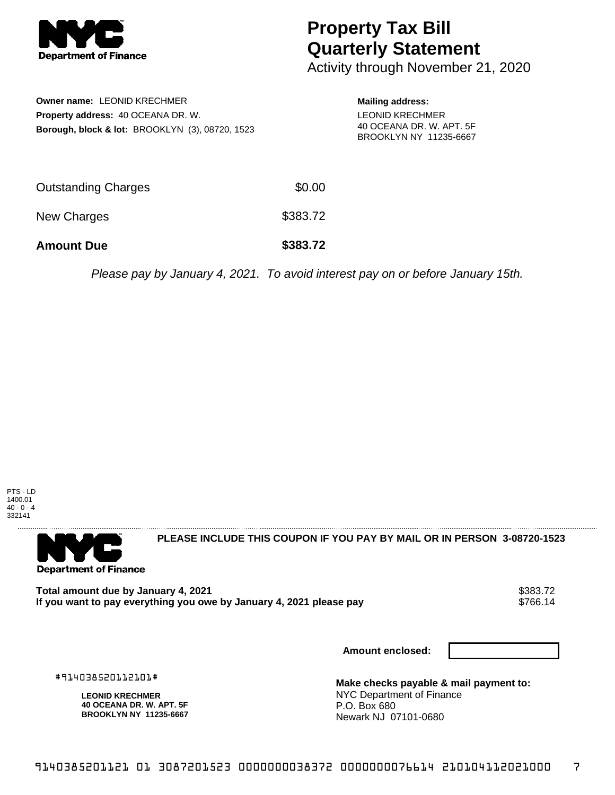

## **Property Tax Bill Quarterly Statement**

Activity through November 21, 2020

| <b>Owner name: LEONID KRECHMER</b><br><b>Property address: 40 OCEANA DR. W.</b><br>Borough, block & lot: BROOKLYN (3), 08720, 1523 |        | <b>Mailing address:</b><br><b>LEONID KRECHMER</b><br>40 OCEANA DR. W. APT. 5F<br>BROOKLYN NY 11235-6667 |
|------------------------------------------------------------------------------------------------------------------------------------|--------|---------------------------------------------------------------------------------------------------------|
| Outstanding Charges                                                                                                                | \$0.00 |                                                                                                         |

New Charges \$383.72

**Amount Due \$383.72**

Please pay by January 4, 2021. To avoid interest pay on or before January 15th.

PTS - LD 1400.01  $40 - 0 - 4$ 332141



**PLEASE INCLUDE THIS COUPON IF YOU PAY BY MAIL OR IN PERSON 3-08720-1523** 

**Total amount due by January 4, 2021**<br>If you want to pay everything you owe by January 4, 2021 please pay \$766.14 If you want to pay everything you owe by January 4, 2021 please pay

**Amount enclosed:**

#914038520112101#

**LEONID KRECHMER 40 OCEANA DR. W. APT. 5F BROOKLYN NY 11235-6667** **Make checks payable & mail payment to:** NYC Department of Finance P.O. Box 680 Newark NJ 07101-0680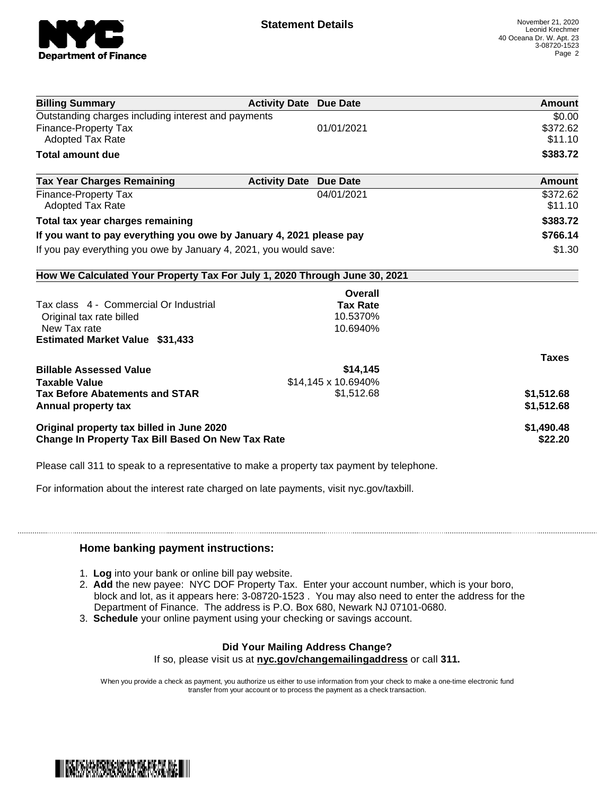

| <b>Billing Summary</b>                                                     | <b>Activity Date Due Date</b>           | Amount       |
|----------------------------------------------------------------------------|-----------------------------------------|--------------|
| Outstanding charges including interest and payments                        |                                         | \$0.00       |
| Finance-Property Tax                                                       | 01/01/2021                              | \$372.62     |
| <b>Adopted Tax Rate</b>                                                    |                                         | \$11.10      |
| <b>Total amount due</b>                                                    |                                         | \$383.72     |
| <b>Tax Year Charges Remaining</b>                                          | <b>Activity Date</b><br><b>Due Date</b> | Amount       |
| <b>Finance-Property Tax</b>                                                | 04/01/2021                              | \$372.62     |
| <b>Adopted Tax Rate</b>                                                    |                                         | \$11.10      |
| Total tax year charges remaining                                           |                                         | \$383.72     |
| If you want to pay everything you owe by January 4, 2021 please pay        |                                         | \$766.14     |
| If you pay everything you owe by January 4, 2021, you would save:          |                                         | \$1.30       |
| How We Calculated Your Property Tax For July 1, 2020 Through June 30, 2021 |                                         |              |
|                                                                            | Overall                                 |              |
| Tax class 4 - Commercial Or Industrial                                     | <b>Tax Rate</b>                         |              |
| Original tax rate billed                                                   | 10.5370%                                |              |
| New Tax rate                                                               | 10.6940%                                |              |
| <b>Estimated Market Value \$31,433</b>                                     |                                         |              |
|                                                                            |                                         | <b>Taxes</b> |
| <b>Billable Assessed Value</b>                                             | \$14,145                                |              |
| <b>Taxable Value</b>                                                       | \$14,145 x 10.6940%                     |              |
| <b>Tax Before Abatements and STAR</b>                                      | \$1,512.68                              | \$1,512.68   |
| Annual property tax                                                        |                                         | \$1,512.68   |
| Original property tax billed in June 2020                                  |                                         | \$1,490.48   |
| <b>Change In Property Tax Bill Based On New Tax Rate</b>                   |                                         | \$22.20      |

Please call 311 to speak to a representative to make a property tax payment by telephone.

For information about the interest rate charged on late payments, visit nyc.gov/taxbill.

## **Home banking payment instructions:**

- 1. **Log** into your bank or online bill pay website.
- 2. **Add** the new payee: NYC DOF Property Tax. Enter your account number, which is your boro, block and lot, as it appears here: 3-08720-1523 . You may also need to enter the address for the Department of Finance. The address is P.O. Box 680, Newark NJ 07101-0680.
- 3. **Schedule** your online payment using your checking or savings account.

## **Did Your Mailing Address Change?** If so, please visit us at **nyc.gov/changemailingaddress** or call **311.**

When you provide a check as payment, you authorize us either to use information from your check to make a one-time electronic fund transfer from your account or to process the payment as a check transaction.